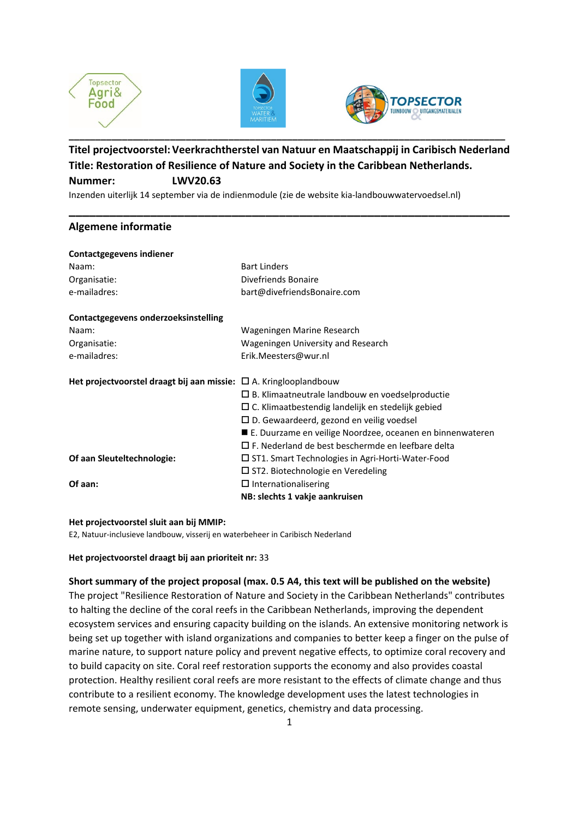





# **Titel projectvoorstel: Veerkrachtherstel van Natuur en Maatschappij in Caribisch Nederland Title: Restoration of Resilience of Nature and Society in the Caribbean Netherlands. Nummer: LWV20.63**

**\_\_\_\_\_\_\_\_\_\_\_\_\_\_\_\_\_\_\_\_\_\_\_\_\_\_\_\_\_\_\_\_\_\_\_\_\_\_\_\_\_\_\_\_\_\_\_\_\_\_\_\_\_\_\_\_\_\_\_\_\_\_\_\_\_**

Inzenden uiterlijk 14 september via de indienmodule (zie de website kia-landbouwwatervoedsel.nl)

# **Algemene informatie**

| <b>Bart Linders</b>                                                    |
|------------------------------------------------------------------------|
| Divefriends Bonaire                                                    |
| bart@divefriendsBonaire.com                                            |
|                                                                        |
| Wageningen Marine Research                                             |
| Wageningen University and Research                                     |
| Erik.Meesters@wur.nl                                                   |
| Het projectvoorstel draagt bij aan missie: $\Box$ A. Kringlooplandbouw |
| $\Box$ B. Klimaatneutrale landbouw en voedselproductie                 |
| $\square$ C. Klimaatbestendig landelijk en stedelijk gebied            |
| $\square$ D. Gewaardeerd, gezond en veilig voedsel                     |
| ■ E. Duurzame en veilige Noordzee, oceanen en binnenwateren            |
| $\Box$ F. Nederland de best beschermde en leefbare delta               |
| $\Box$ ST1. Smart Technologies in Agri-Horti-Water-Food                |
| $\square$ ST2. Biotechnologie en Veredeling                            |
| $\Box$ Internationalisering                                            |
| NB: slechts 1 vakje aankruisen                                         |
|                                                                        |

### **Het projectvoorstel sluit aan bij MMIP:**

E2, Natuur-inclusieve landbouw, visserij en waterbeheer in Caribisch Nederland

# **Het projectvoorstel draagt bij aan prioriteit nr:** 33

# **Short summary of the project proposal (max. 0.5 A4, this text will be published on the website)** The project "Resilience Restoration of Nature and Society in the Caribbean Netherlands" contributes to halting the decline of the coral reefs in the Caribbean Netherlands, improving the dependent ecosystem services and ensuring capacity building on the islands. An extensive monitoring network is being set up together with island organizations and companies to better keep a finger on the pulse of marine nature, to support nature policy and prevent negative effects, to optimize coral recovery and to build capacity on site. Coral reef restoration supports the economy and also provides coastal protection. Healthy resilient coral reefs are more resistant to the effects of climate change and thus contribute to a resilient economy. The knowledge development uses the latest technologies in remote sensing, underwater equipment, genetics, chemistry and data processing.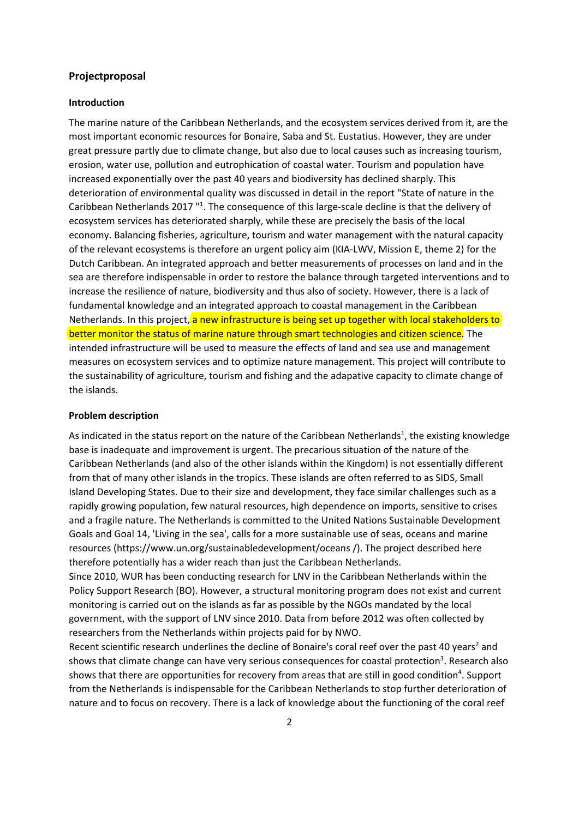## **Projectproposal**

#### **Introduction**

The marine nature of the Caribbean Netherlands, and the ecosystem services derived from it, are the most important economic resources for Bonaire, Saba and St. Eustatius. However, they are under great pressure partly due to climate change, but also due to local causes such as increasing tourism, erosion, water use, pollution and eutrophication of coastal water. Tourism and population have increased exponentially over the past 40 years and biodiversity has declined sharply. This deterioration of environmental quality was discussed in detail in the report "State of nature in the Caribbean Netherlands 2017<sup>"1</sup>. The consequence of this large-scale decline is that the delivery of ecosystem services has deteriorated sharply, while these are precisely the basis of the local economy. Balancing fisheries, agriculture, tourism and water management with the natural capacity of the relevant ecosystems is therefore an urgent policy aim (KIA-LWV, Mission E, theme 2) for the Dutch Caribbean. An integrated approach and better measurements of processes on land and in the sea are therefore indispensable in order to restore the balance through targeted interventions and to increase the resilience of nature, biodiversity and thus also of society. However, there is a lack of fundamental knowledge and an integrated approach to coastal management in the Caribbean Netherlands. In this project, a new infrastructure is being set up together with local stakeholders to better monitor the status of marine nature through smart technologies and citizen science. The intended infrastructure will be used to measure the effects of land and sea use and management measures on ecosystem services and to optimize nature management. This project will contribute to the sustainability of agriculture, tourism and fishing and the adapative capacity to climate change of the islands.

#### **Problem description**

As indicated in the status report on the nature of the Caribbean Netherlands<sup>1</sup>, the existing knowledge base is inadequate and improvement is urgent. The precarious situation of the nature of the Caribbean Netherlands (and also of the other islands within the Kingdom) is not essentially different from that of many other islands in the tropics. These islands are often referred to as SIDS, Small Island Developing States. Due to their size and development, they face similar challenges such as a rapidly growing population, few natural resources, high dependence on imports, sensitive to crises and a fragile nature. The Netherlands is committed to the United Nations Sustainable Development Goals and Goal 14, 'Living in the sea', calls for a more sustainable use of seas, oceans and marine resources (https://www.un.org/sustainabledevelopment/oceans /). The project described here therefore potentially has a wider reach than just the Caribbean Netherlands.

Since 2010, WUR has been conducting research for LNV in the Caribbean Netherlands within the Policy Support Research (BO). However, a structural monitoring program does not exist and current monitoring is carried out on the islands as far as possible by the NGOs mandated by the local government, with the support of LNV since 2010. Data from before 2012 was often collected by researchers from the Netherlands within projects paid for by NWO.

Recent scientific research underlines the decline of Bonaire's coral reef over the past 40 years<sup>2</sup> and shows that climate change can have very serious consequences for coastal protection<sup>3</sup>. Research also shows that there are opportunities for recovery from areas that are still in good condition<sup>4</sup>. Support from the Netherlands is indispensable for the Caribbean Netherlands to stop further deterioration of nature and to focus on recovery. There is a lack of knowledge about the functioning of the coral reef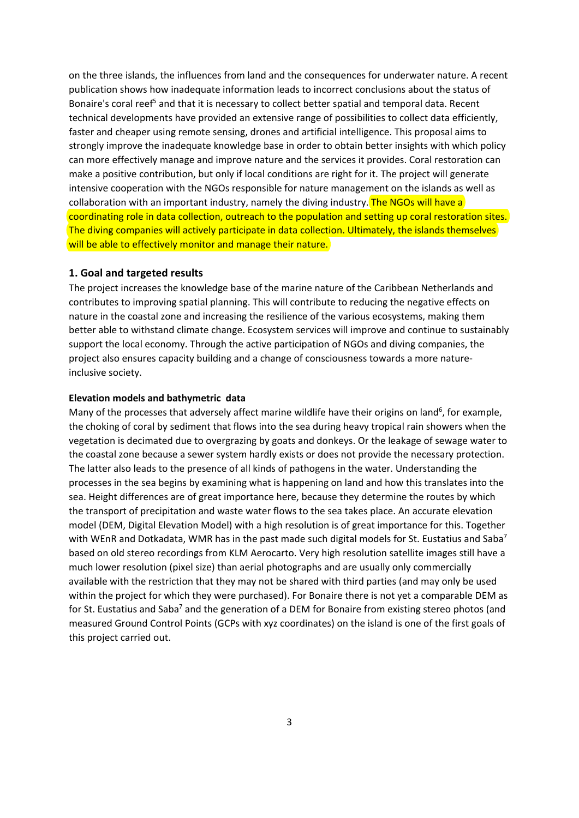on the three islands, the influences from land and the consequences for underwater nature. A recent publication shows how inadequate information leads to incorrect conclusions about the status of Bonaire's coral reef<sup>5</sup> and that it is necessary to collect better spatial and temporal data. Recent technical developments have provided an extensive range of possibilities to collect data efficiently, faster and cheaper using remote sensing, drones and artificial intelligence. This proposal aims to strongly improve the inadequate knowledge base in order to obtain better insights with which policy can more effectively manage and improve nature and the services it provides. Coral restoration can make a positive contribution, but only if local conditions are right for it. The project will generate intensive cooperation with the NGOs responsible for nature management on the islands as well as collaboration with an important industry, namely the diving industry. The NGOs will have a coordinating role in data collection, outreach to the population and setting up coral restoration sites. The diving companies will actively participate in data collection. Ultimately, the islands themselves will be able to effectively monitor and manage their nature.

### **1. Goal and targeted results**

The project increases the knowledge base of the marine nature of the Caribbean Netherlands and contributes to improving spatial planning. This will contribute to reducing the negative effects on nature in the coastal zone and increasing the resilience of the various ecosystems, making them better able to withstand climate change. Ecosystem services will improve and continue to sustainably support the local economy. Through the active participation of NGOs and diving companies, the project also ensures capacity building and a change of consciousness towards a more natureinclusive society.

## **Elevation models and bathymetric data**

Many of the processes that adversely affect marine wildlife have their origins on land<sup>6</sup>, for example, the choking of coral by sediment that flows into the sea during heavy tropical rain showers when the vegetation is decimated due to overgrazing by goats and donkeys. Or the leakage of sewage water to the coastal zone because a sewer system hardly exists or does not provide the necessary protection. The latter also leads to the presence of all kinds of pathogens in the water. Understanding the processes in the sea begins by examining what is happening on land and how this translates into the sea. Height differences are of great importance here, because they determine the routes by which the transport of precipitation and waste water flows to the sea takes place. An accurate elevation model (DEM, Digital Elevation Model) with a high resolution is of great importance for this. Together with WEnR and Dotkadata, WMR has in the past made such digital models for St. Eustatius and Saba<sup>7</sup> based on old stereo recordings from KLM Aerocarto. Very high resolution satellite images still have a much lower resolution (pixel size) than aerial photographs and are usually only commercially available with the restriction that they may not be shared with third parties (and may only be used within the project for which they were purchased). For Bonaire there is not yet a comparable DEM as for St. Eustatius and Saba<sup>7</sup> and the generation of a DEM for Bonaire from existing stereo photos (and measured Ground Control Points (GCPs with xyz coordinates) on the island is one of the first goals of this project carried out.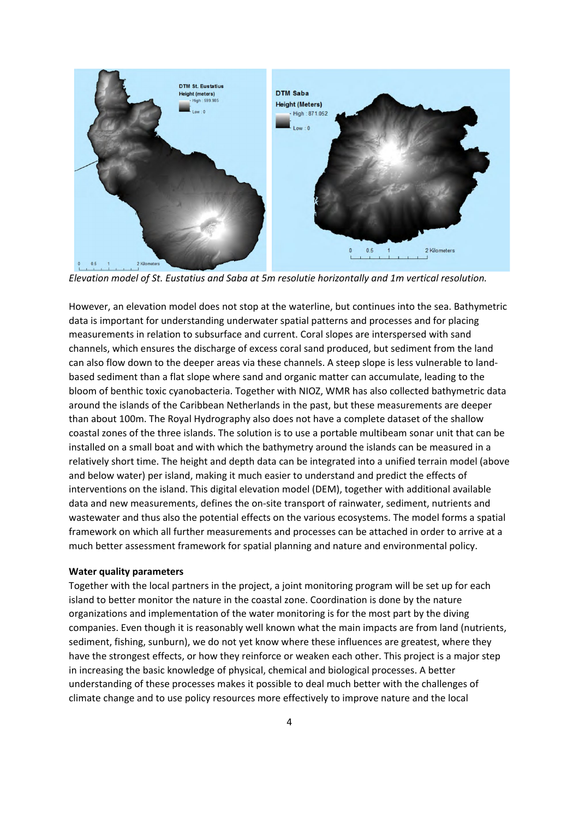

*Elevation model of St. Eustatius and Saba at 5m resolutie horizontally and 1m vertical resolution.*

However, an elevation model does not stop at the waterline, but continues into the sea. Bathymetric data is important for understanding underwater spatial patterns and processes and for placing measurements in relation to subsurface and current. Coral slopes are interspersed with sand channels, which ensures the discharge of excess coral sand produced, but sediment from the land can also flow down to the deeper areas via these channels. A steep slope is less vulnerable to landbased sediment than a flat slope where sand and organic matter can accumulate, leading to the bloom of benthic toxic cyanobacteria. Together with NIOZ, WMR has also collected bathymetric data around the islands of the Caribbean Netherlands in the past, but these measurements are deeper than about 100m. The Royal Hydrography also does not have a complete dataset of the shallow coastal zones of the three islands. The solution is to use a portable multibeam sonar unit that can be installed on a small boat and with which the bathymetry around the islands can be measured in a relatively short time. The height and depth data can be integrated into a unified terrain model (above and below water) per island, making it much easier to understand and predict the effects of interventions on the island. This digital elevation model (DEM), together with additional available data and new measurements, defines the on-site transport of rainwater, sediment, nutrients and wastewater and thus also the potential effects on the various ecosystems. The model forms a spatial framework on which all further measurements and processes can be attached in order to arrive at a much better assessment framework for spatial planning and nature and environmental policy.

### **Water quality parameters**

Together with the local partners in the project, a joint monitoring program will be set up for each island to better monitor the nature in the coastal zone. Coordination is done by the nature organizations and implementation of the water monitoring is for the most part by the diving companies. Even though it is reasonably well known what the main impacts are from land (nutrients, sediment, fishing, sunburn), we do not yet know where these influences are greatest, where they have the strongest effects, or how they reinforce or weaken each other. This project is a major step in increasing the basic knowledge of physical, chemical and biological processes. A better understanding of these processes makes it possible to deal much better with the challenges of climate change and to use policy resources more effectively to improve nature and the local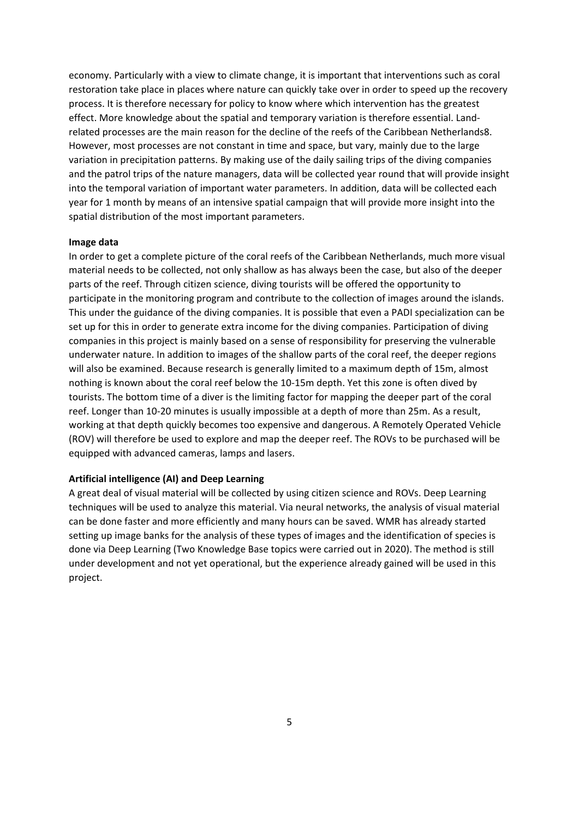economy. Particularly with a view to climate change, it is important that interventions such as coral restoration take place in places where nature can quickly take over in order to speed up the recovery process. It is therefore necessary for policy to know where which intervention has the greatest effect. More knowledge about the spatial and temporary variation is therefore essential. Landrelated processes are the main reason for the decline of the reefs of the Caribbean Netherlands8. However, most processes are not constant in time and space, but vary, mainly due to the large variation in precipitation patterns. By making use of the daily sailing trips of the diving companies and the patrol trips of the nature managers, data will be collected year round that will provide insight into the temporal variation of important water parameters. In addition, data will be collected each year for 1 month by means of an intensive spatial campaign that will provide more insight into the spatial distribution of the most important parameters.

#### **Image data**

In order to get a complete picture of the coral reefs of the Caribbean Netherlands, much more visual material needs to be collected, not only shallow as has always been the case, but also of the deeper parts of the reef. Through citizen science, diving tourists will be offered the opportunity to participate in the monitoring program and contribute to the collection of images around the islands. This under the guidance of the diving companies. It is possible that even a PADI specialization can be set up for this in order to generate extra income for the diving companies. Participation of diving companies in this project is mainly based on a sense of responsibility for preserving the vulnerable underwater nature. In addition to images of the shallow parts of the coral reef, the deeper regions will also be examined. Because research is generally limited to a maximum depth of 15m, almost nothing is known about the coral reef below the 10-15m depth. Yet this zone is often dived by tourists. The bottom time of a diver is the limiting factor for mapping the deeper part of the coral reef. Longer than 10-20 minutes is usually impossible at a depth of more than 25m. As a result, working at that depth quickly becomes too expensive and dangerous. A Remotely Operated Vehicle (ROV) will therefore be used to explore and map the deeper reef. The ROVs to be purchased will be equipped with advanced cameras, lamps and lasers.

### **Artificial intelligence (AI) and Deep Learning**

A great deal of visual material will be collected by using citizen science and ROVs. Deep Learning techniques will be used to analyze this material. Via neural networks, the analysis of visual material can be done faster and more efficiently and many hours can be saved. WMR has already started setting up image banks for the analysis of these types of images and the identification of species is done via Deep Learning (Two Knowledge Base topics were carried out in 2020). The method is still under development and not yet operational, but the experience already gained will be used in this project.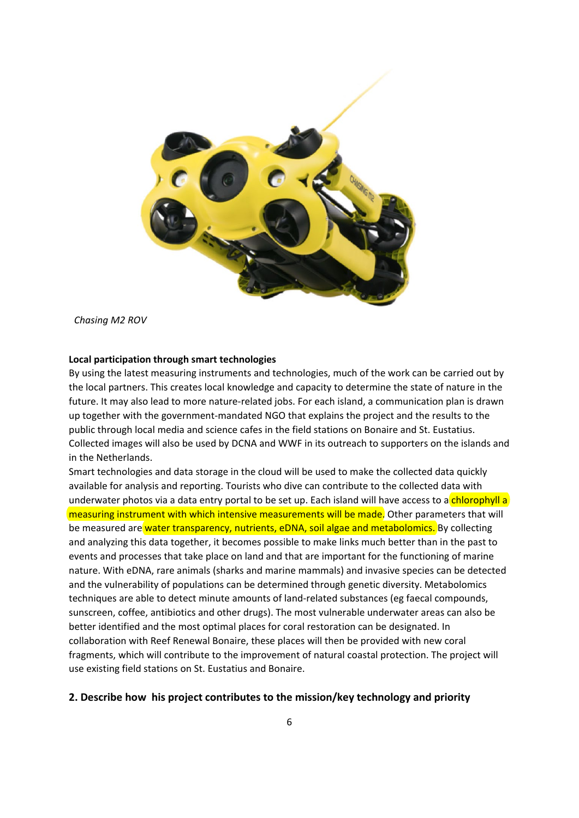

*Chasing M2 ROV*

### **Local participation through smart technologies**

By using the latest measuring instruments and technologies, much of the work can be carried out by the local partners. This creates local knowledge and capacity to determine the state of nature in the future. It may also lead to more nature-related jobs. For each island, a communication plan is drawn up together with the government-mandated NGO that explains the project and the results to the public through local media and science cafes in the field stations on Bonaire and St. Eustatius. Collected images will also be used by DCNA and WWF in its outreach to supporters on the islands and in the Netherlands.

Smart technologies and data storage in the cloud will be used to make the collected data quickly available for analysis and reporting. Tourists who dive can contribute to the collected data with underwater photos via a data entry portal to be set up. Each island will have access to a chlorophyll a measuring instrument with which intensive measurements will be made. Other parameters that will be measured are water transparency, nutrients, eDNA, soil algae and metabolomics. By collecting and analyzing this data together, it becomes possible to make links much better than in the past to events and processes that take place on land and that are important for the functioning of marine nature. With eDNA, rare animals (sharks and marine mammals) and invasive species can be detected and the vulnerability of populations can be determined through genetic diversity. Metabolomics techniques are able to detect minute amounts of land-related substances (eg faecal compounds, sunscreen, coffee, antibiotics and other drugs). The most vulnerable underwater areas can also be better identified and the most optimal places for coral restoration can be designated. In collaboration with Reef Renewal Bonaire, these places will then be provided with new coral fragments, which will contribute to the improvement of natural coastal protection. The project will use existing field stations on St. Eustatius and Bonaire.

# **2. Describe how his project contributes to the mission/key technology and priority**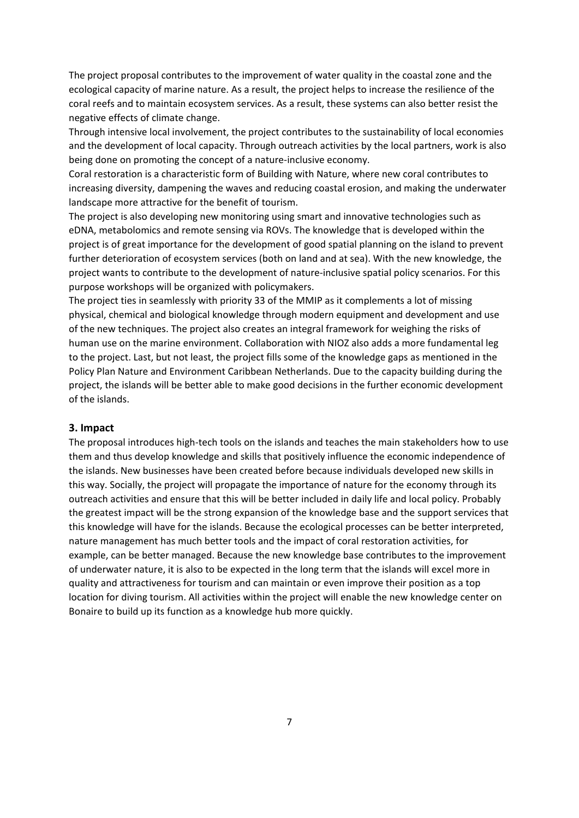The project proposal contributes to the improvement of water quality in the coastal zone and the ecological capacity of marine nature. As a result, the project helps to increase the resilience of the coral reefs and to maintain ecosystem services. As a result, these systems can also better resist the negative effects of climate change.

Through intensive local involvement, the project contributes to the sustainability of local economies and the development of local capacity. Through outreach activities by the local partners, work is also being done on promoting the concept of a nature-inclusive economy.

Coral restoration is a characteristic form of Building with Nature, where new coral contributes to increasing diversity, dampening the waves and reducing coastal erosion, and making the underwater landscape more attractive for the benefit of tourism.

The project is also developing new monitoring using smart and innovative technologies such as eDNA, metabolomics and remote sensing via ROVs. The knowledge that is developed within the project is of great importance for the development of good spatial planning on the island to prevent further deterioration of ecosystem services (both on land and at sea). With the new knowledge, the project wants to contribute to the development of nature-inclusive spatial policy scenarios. For this purpose workshops will be organized with policymakers.

The project ties in seamlessly with priority 33 of the MMIP as it complements a lot of missing physical, chemical and biological knowledge through modern equipment and development and use of the new techniques. The project also creates an integral framework for weighing the risks of human use on the marine environment. Collaboration with NIOZ also adds a more fundamental leg to the project. Last, but not least, the project fills some of the knowledge gaps as mentioned in the Policy Plan Nature and Environment Caribbean Netherlands. Due to the capacity building during the project, the islands will be better able to make good decisions in the further economic development of the islands.

### **3. Impact**

The proposal introduces high-tech tools on the islands and teaches the main stakeholders how to use them and thus develop knowledge and skills that positively influence the economic independence of the islands. New businesses have been created before because individuals developed new skills in this way. Socially, the project will propagate the importance of nature for the economy through its outreach activities and ensure that this will be better included in daily life and local policy. Probably the greatest impact will be the strong expansion of the knowledge base and the support services that this knowledge will have for the islands. Because the ecological processes can be better interpreted, nature management has much better tools and the impact of coral restoration activities, for example, can be better managed. Because the new knowledge base contributes to the improvement of underwater nature, it is also to be expected in the long term that the islands will excel more in quality and attractiveness for tourism and can maintain or even improve their position as a top location for diving tourism. All activities within the project will enable the new knowledge center on Bonaire to build up its function as a knowledge hub more quickly.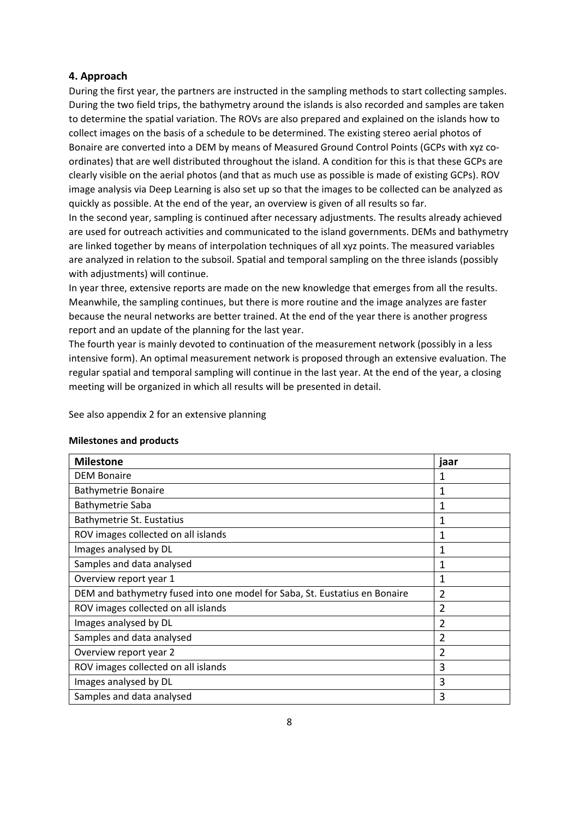# **4. Approach**

During the first year, the partners are instructed in the sampling methods to start collecting samples. During the two field trips, the bathymetry around the islands is also recorded and samples are taken to determine the spatial variation. The ROVs are also prepared and explained on the islands how to collect images on the basis of a schedule to be determined. The existing stereo aerial photos of Bonaire are converted into a DEM by means of Measured Ground Control Points (GCPs with xyz coordinates) that are well distributed throughout the island. A condition for this is that these GCPs are clearly visible on the aerial photos (and that as much use as possible is made of existing GCPs). ROV image analysis via Deep Learning is also set up so that the images to be collected can be analyzed as quickly as possible. At the end of the year, an overview is given of all results so far.

In the second year, sampling is continued after necessary adjustments. The results already achieved are used for outreach activities and communicated to the island governments. DEMs and bathymetry are linked together by means of interpolation techniques of all xyz points. The measured variables are analyzed in relation to the subsoil. Spatial and temporal sampling on the three islands (possibly with adjustments) will continue.

In year three, extensive reports are made on the new knowledge that emerges from all the results. Meanwhile, the sampling continues, but there is more routine and the image analyzes are faster because the neural networks are better trained. At the end of the year there is another progress report and an update of the planning for the last year.

The fourth year is mainly devoted to continuation of the measurement network (possibly in a less intensive form). An optimal measurement network is proposed through an extensive evaluation. The regular spatial and temporal sampling will continue in the last year. At the end of the year, a closing meeting will be organized in which all results will be presented in detail.

See also appendix 2 for an extensive planning

#### **Milestones and products**

| <b>Milestone</b>                                                           | jaar           |
|----------------------------------------------------------------------------|----------------|
| <b>DEM Bonaire</b>                                                         | 1              |
| <b>Bathymetrie Bonaire</b>                                                 | 1              |
| Bathymetrie Saba                                                           | 1              |
| Bathymetrie St. Eustatius                                                  | 1              |
| ROV images collected on all islands                                        | 1              |
| Images analysed by DL                                                      | 1              |
| Samples and data analysed                                                  | 1              |
| Overview report year 1                                                     | 1              |
| DEM and bathymetry fused into one model for Saba, St. Eustatius en Bonaire | $\overline{2}$ |
| ROV images collected on all islands                                        | 2              |
| Images analysed by DL                                                      | 2              |
| Samples and data analysed                                                  | $\overline{2}$ |
| Overview report year 2                                                     | 2              |
| ROV images collected on all islands                                        | 3              |
| Images analysed by DL                                                      | 3              |
| Samples and data analysed                                                  | 3              |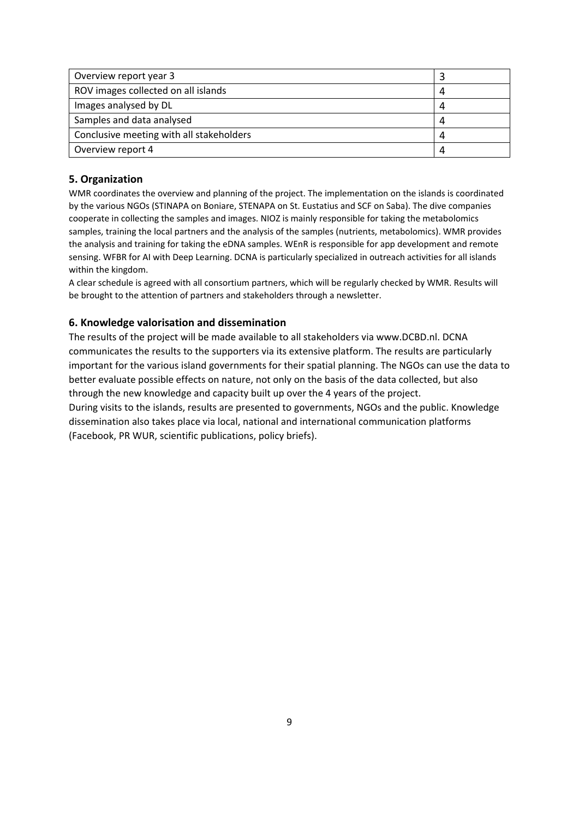| Overview report year 3                   |  |
|------------------------------------------|--|
| ROV images collected on all islands      |  |
| Images analysed by DL                    |  |
| Samples and data analysed                |  |
| Conclusive meeting with all stakeholders |  |
| Overview report 4                        |  |

# **5. Organization**

WMR coordinates the overview and planning of the project. The implementation on the islands is coordinated by the various NGOs (STINAPA on Boniare, STENAPA on St. Eustatius and SCF on Saba). The dive companies cooperate in collecting the samples and images. NIOZ is mainly responsible for taking the metabolomics samples, training the local partners and the analysis of the samples (nutrients, metabolomics). WMR provides the analysis and training for taking the eDNA samples. WEnR is responsible for app development and remote sensing. WFBR for AI with Deep Learning. DCNA is particularly specialized in outreach activities for all islands within the kingdom.

A clear schedule is agreed with all consortium partners, which will be regularly checked by WMR. Results will be brought to the attention of partners and stakeholders through a newsletter.

# **6. Knowledge valorisation and dissemination**

The results of the project will be made available to all stakeholders via www.DCBD.nl. DCNA communicates the results to the supporters via its extensive platform. The results are particularly important for the various island governments for their spatial planning. The NGOs can use the data to better evaluate possible effects on nature, not only on the basis of the data collected, but also through the new knowledge and capacity built up over the 4 years of the project.

During visits to the islands, results are presented to governments, NGOs and the public. Knowledge dissemination also takes place via local, national and international communication platforms (Facebook, PR WUR, scientific publications, policy briefs).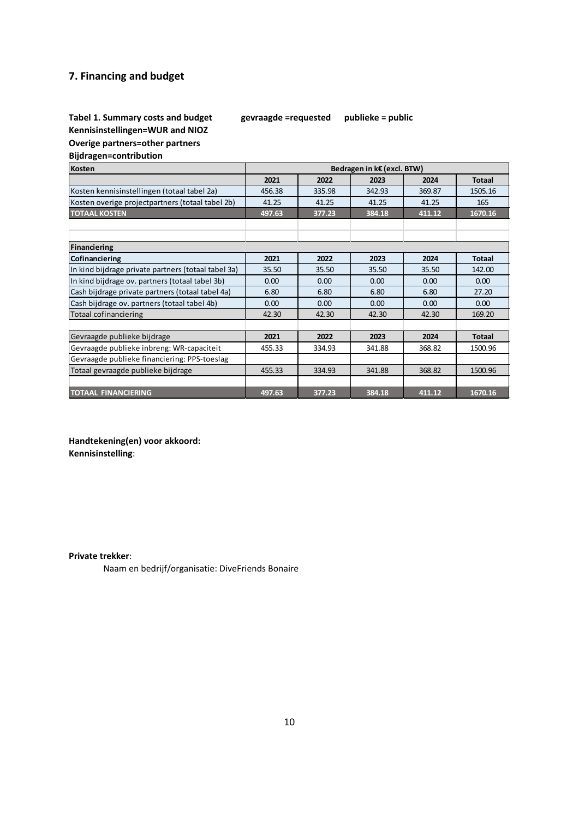# **7. Financing and budget**

# **Tabel 1. Summary costs and budget gevraagde =requested publieke = public Kennisinstellingen=WUR and NIOZ**

**Overige partners=other partners**

**Bijdragen=contribution**

| Bedragen in k€ (excl. BTW)<br><b>Kosten</b>         |        |        |        |        |               |
|-----------------------------------------------------|--------|--------|--------|--------|---------------|
|                                                     | 2021   | 2022   | 2023   | 2024   | <b>Totaal</b> |
| Kosten kennisinstellingen (totaal tabel 2a)         | 456.38 | 335.98 | 342.93 | 369.87 | 1505.16       |
| Kosten overige projectpartners (totaal tabel 2b)    | 41.25  | 41.25  | 41.25  | 41.25  | 165           |
| <b>TOTAAL KOSTEN</b>                                | 497.63 | 377.23 | 384.18 | 411.12 | 1670.16       |
|                                                     |        |        |        |        |               |
|                                                     |        |        |        |        |               |
| <b>Financiering</b>                                 |        |        |        |        |               |
| Cofinanciering                                      | 2021   | 2022   | 2023   | 2024   | <b>Totaal</b> |
| In kind bijdrage private partners (totaal tabel 3a) | 35.50  | 35.50  | 35.50  | 35.50  | 142.00        |
| In kind bijdrage ov. partners (totaal tabel 3b)     | 0.00   | 0.00   | 0.00   | 0.00   | 0.00          |
| Cash bijdrage private partners (totaal tabel 4a)    | 6.80   | 6.80   | 6.80   | 6.80   | 27.20         |
| Cash bijdrage ov. partners (totaal tabel 4b)        | 0.00   | 0.00   | 0.00   | 0.00   | 0.00          |
| <b>Totaal cofinanciering</b>                        | 42.30  | 42.30  | 42.30  | 42.30  | 169.20        |
|                                                     |        |        |        |        |               |
| Gevraagde publieke bijdrage                         | 2021   | 2022   | 2023   | 2024   | <b>Totaal</b> |
| Gevraagde publieke inbreng: WR-capaciteit           | 455.33 | 334.93 | 341.88 | 368.82 | 1500.96       |
| Gevraagde publieke financiering: PPS-toeslag        |        |        |        |        |               |
| Totaal gevraagde publieke bijdrage                  | 455.33 | 334.93 | 341.88 | 368.82 | 1500.96       |
|                                                     |        |        |        |        |               |
| <b>TOTAAL FINANCIERING</b>                          | 497.63 | 377.23 | 384.18 | 411.12 | 1670.16       |

**Handtekening(en) voor akkoord: Kennisinstelling**:

**Private trekker**:

Naam en bedrijf/organisatie: DiveFriends Bonaire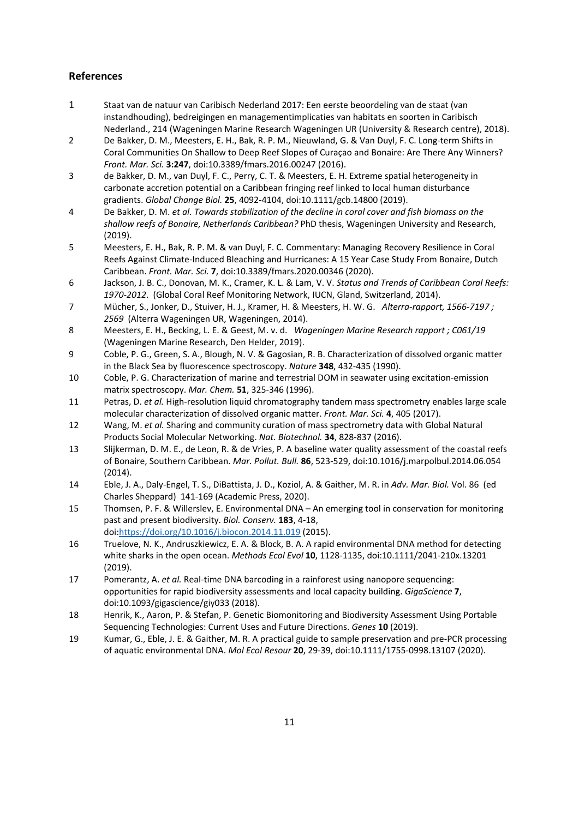# **References**

- 1 Staat van de natuur van Caribisch Nederland 2017: Een eerste beoordeling van de staat (van instandhouding), bedreigingen en managementimplicaties van habitats en soorten in Caribisch Nederland., 214 (Wageningen Marine Research Wageningen UR (University & Research centre), 2018).
- 2 De Bakker, D. M., Meesters, E. H., Bak, R. P. M., Nieuwland, G. & Van Duyl, F. C. Long-term Shifts in Coral Communities On Shallow to Deep Reef Slopes of Curaçao and Bonaire: Are There Any Winners? *Front. Mar. Sci.* **3:247**, doi:10.3389/fmars.2016.00247 (2016).
- 3 de Bakker, D. M., van Duyl, F. C., Perry, C. T. & Meesters, E. H. Extreme spatial heterogeneity in carbonate accretion potential on a Caribbean fringing reef linked to local human disturbance gradients. *Global Change Biol.* **25**, 4092-4104, doi:10.1111/gcb.14800 (2019).
- 4 De Bakker, D. M. *et al. Towards stabilization of the decline in coral cover and fish biomass on the shallow reefs of Bonaire, Netherlands Caribbean?* PhD thesis, Wageningen University and Research, (2019).
- 5 Meesters, E. H., Bak, R. P. M. & van Duyl, F. C. Commentary: Managing Recovery Resilience in Coral Reefs Against Climate-Induced Bleaching and Hurricanes: A 15 Year Case Study From Bonaire, Dutch Caribbean. *Front. Mar. Sci.* **7**, doi:10.3389/fmars.2020.00346 (2020).
- 6 Jackson, J. B. C., Donovan, M. K., Cramer, K. L. & Lam, V. V. *Status and Trends of Caribbean Coral Reefs: 1970-2012*. (Global Coral Reef Monitoring Network, IUCN, Gland, Switzerland, 2014).
- 7 Mücher, S., Jonker, D., Stuiver, H. J., Kramer, H. & Meesters, H. W. G. *Alterra-rapport, 1566-7197 ; 2569* (Alterra Wageningen UR, Wageningen, 2014).
- 8 Meesters, E. H., Becking, L. E. & Geest, M. v. d. *Wageningen Marine Research rapport ; C061/19* (Wageningen Marine Research, Den Helder, 2019).
- 9 Coble, P. G., Green, S. A., Blough, N. V. & Gagosian, R. B. Characterization of dissolved organic matter in the Black Sea by fluorescence spectroscopy. *Nature* **348**, 432-435 (1990).
- 10 Coble, P. G. Characterization of marine and terrestrial DOM in seawater using excitation-emission matrix spectroscopy. *Mar. Chem.* **51**, 325-346 (1996).
- 11 Petras, D. *et al.* High-resolution liquid chromatography tandem mass spectrometry enables large scale molecular characterization of dissolved organic matter. *Front. Mar. Sci.* **4**, 405 (2017).
- 12 Wang, M. *et al.* Sharing and community curation of mass spectrometry data with Global Natural Products Social Molecular Networking. *Nat. Biotechnol.* **34**, 828-837 (2016).
- 13 Slijkerman, D. M. E., de Leon, R. & de Vries, P. A baseline water quality assessment of the coastal reefs of Bonaire, Southern Caribbean. *Mar. Pollut. Bull.* **86**, 523-529, doi:10.1016/j.marpolbul.2014.06.054 (2014).
- 14 Eble, J. A., Daly-Engel, T. S., DiBattista, J. D., Koziol, A. & Gaither, M. R. in *Adv. Mar. Biol.* Vol. 86 (ed Charles Sheppard) 141-169 (Academic Press, 2020).
- 15 Thomsen, P. F. & Willerslev, E. Environmental DNA An emerging tool in conservation for monitoring past and present biodiversity. *Biol. Conserv.* **183**, 4-18, doi[:https://doi.org/10.1016/j.biocon.2014.11.019](https://doi.org/10.1016/j.biocon.2014.11.019) (2015).
- 16 Truelove, N. K., Andruszkiewicz, E. A. & Block, B. A. A rapid environmental DNA method for detecting white sharks in the open ocean. *Methods Ecol Evol* **10**, 1128-1135, doi:10.1111/2041-210x.13201 (2019).
- 17 Pomerantz, A. *et al.* Real-time DNA barcoding in a rainforest using nanopore sequencing: opportunities for rapid biodiversity assessments and local capacity building. *GigaScience* **7**, doi:10.1093/gigascience/giy033 (2018).
- 18 Henrik, K., Aaron, P. & Stefan, P. Genetic Biomonitoring and Biodiversity Assessment Using Portable Sequencing Technologies: Current Uses and Future Directions. *Genes* **10** (2019).
- 19 Kumar, G., Eble, J. E. & Gaither, M. R. A practical guide to sample preservation and pre-PCR processing of aquatic environmental DNA. *Mol Ecol Resour* **20**, 29-39, doi:10.1111/1755-0998.13107 (2020).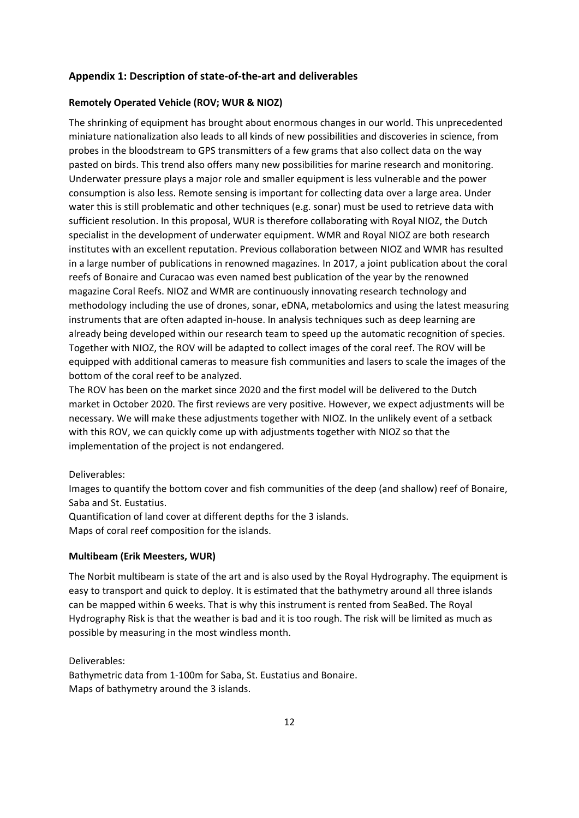# **Appendix 1: Description of state-of-the-art and deliverables**

# **Remotely Operated Vehicle (ROV; WUR & NIOZ)**

The shrinking of equipment has brought about enormous changes in our world. This unprecedented miniature nationalization also leads to all kinds of new possibilities and discoveries in science, from probes in the bloodstream to GPS transmitters of a few grams that also collect data on the way pasted on birds. This trend also offers many new possibilities for marine research and monitoring. Underwater pressure plays a major role and smaller equipment is less vulnerable and the power consumption is also less. Remote sensing is important for collecting data over a large area. Under water this is still problematic and other techniques (e.g. sonar) must be used to retrieve data with sufficient resolution. In this proposal, WUR is therefore collaborating with Royal NIOZ, the Dutch specialist in the development of underwater equipment. WMR and Royal NIOZ are both research institutes with an excellent reputation. Previous collaboration between NIOZ and WMR has resulted in a large number of publications in renowned magazines. In 2017, a joint publication about the coral reefs of Bonaire and Curacao was even named best publication of the year by the renowned magazine Coral Reefs. NIOZ and WMR are continuously innovating research technology and methodology including the use of drones, sonar, eDNA, metabolomics and using the latest measuring instruments that are often adapted in-house. In analysis techniques such as deep learning are already being developed within our research team to speed up the automatic recognition of species. Together with NIOZ, the ROV will be adapted to collect images of the coral reef. The ROV will be equipped with additional cameras to measure fish communities and lasers to scale the images of the bottom of the coral reef to be analyzed.

The ROV has been on the market since 2020 and the first model will be delivered to the Dutch market in October 2020. The first reviews are very positive. However, we expect adjustments will be necessary. We will make these adjustments together with NIOZ. In the unlikely event of a setback with this ROV, we can quickly come up with adjustments together with NIOZ so that the implementation of the project is not endangered.

# Deliverables:

Images to quantify the bottom cover and fish communities of the deep (and shallow) reef of Bonaire, Saba and St. Eustatius.

Quantification of land cover at different depths for the 3 islands.

Maps of coral reef composition for the islands.

## **Multibeam (Erik Meesters, WUR)**

The Norbit multibeam is state of the art and is also used by the Royal Hydrography. The equipment is easy to transport and quick to deploy. It is estimated that the bathymetry around all three islands can be mapped within 6 weeks. That is why this instrument is rented from SeaBed. The Royal Hydrography Risk is that the weather is bad and it is too rough. The risk will be limited as much as possible by measuring in the most windless month.

Deliverables:

Bathymetric data from 1-100m for Saba, St. Eustatius and Bonaire. Maps of bathymetry around the 3 islands.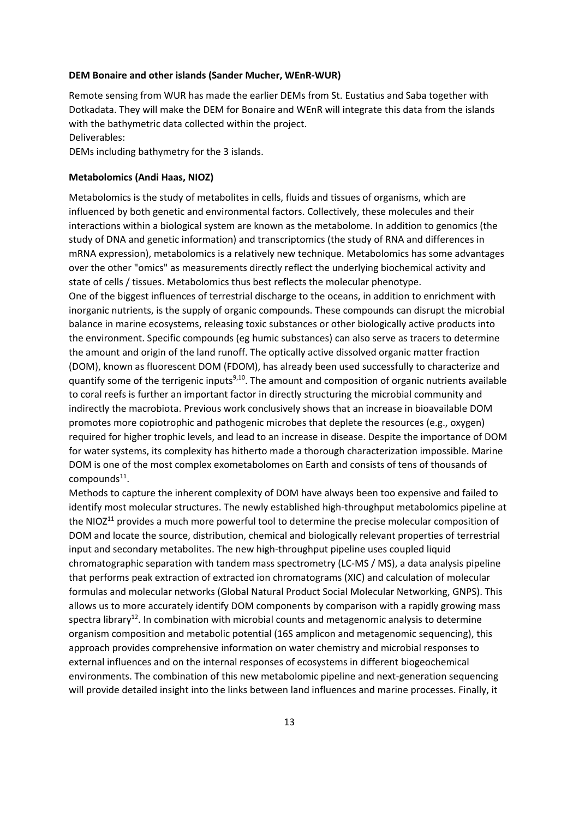#### **DEM Bonaire and other islands (Sander Mucher, WEnR-WUR)**

Remote sensing from WUR has made the earlier DEMs from St. Eustatius and Saba together with Dotkadata. They will make the DEM for Bonaire and WEnR will integrate this data from the islands with the bathymetric data collected within the project.

Deliverables:

DEMs including bathymetry for the 3 islands.

### **Metabolomics (Andi Haas, NIOZ)**

Metabolomics is the study of metabolites in cells, fluids and tissues of organisms, which are influenced by both genetic and environmental factors. Collectively, these molecules and their interactions within a biological system are known as the metabolome. In addition to genomics (the study of DNA and genetic information) and transcriptomics (the study of RNA and differences in mRNA expression), metabolomics is a relatively new technique. Metabolomics has some advantages over the other "omics" as measurements directly reflect the underlying biochemical activity and state of cells / tissues. Metabolomics thus best reflects the molecular phenotype.

One of the biggest influences of terrestrial discharge to the oceans, in addition to enrichment with inorganic nutrients, is the supply of organic compounds. These compounds can disrupt the microbial balance in marine ecosystems, releasing toxic substances or other biologically active products into the environment. Specific compounds (eg humic substances) can also serve as tracers to determine the amount and origin of the land runoff. The optically active dissolved organic matter fraction (DOM), known as fluorescent DOM (FDOM), has already been used successfully to characterize and quantify some of the terrigenic inputs<sup>9,10</sup>. The amount and composition of organic nutrients available to coral reefs is further an important factor in directly structuring the microbial community and indirectly the macrobiota. Previous work conclusively shows that an increase in bioavailable DOM promotes more copiotrophic and pathogenic microbes that deplete the resources (e.g., oxygen) required for higher trophic levels, and lead to an increase in disease. Despite the importance of DOM for water systems, its complexity has hitherto made a thorough characterization impossible. Marine DOM is one of the most complex exometabolomes on Earth and consists of tens of thousands of compounds $^{11}$ .

Methods to capture the inherent complexity of DOM have always been too expensive and failed to identify most molecular structures. The newly established high-throughput metabolomics pipeline at the NIO $Z^{11}$  provides a much more powerful tool to determine the precise molecular composition of DOM and locate the source, distribution, chemical and biologically relevant properties of terrestrial input and secondary metabolites. The new high-throughput pipeline uses coupled liquid chromatographic separation with tandem mass spectrometry (LC-MS / MS), a data analysis pipeline that performs peak extraction of extracted ion chromatograms (XIC) and calculation of molecular formulas and molecular networks (Global Natural Product Social Molecular Networking, GNPS). This allows us to more accurately identify DOM components by comparison with a rapidly growing mass spectra library<sup>12</sup>. In combination with microbial counts and metagenomic analysis to determine organism composition and metabolic potential (16S amplicon and metagenomic sequencing), this approach provides comprehensive information on water chemistry and microbial responses to external influences and on the internal responses of ecosystems in different biogeochemical environments. The combination of this new metabolomic pipeline and next-generation sequencing will provide detailed insight into the links between land influences and marine processes. Finally, it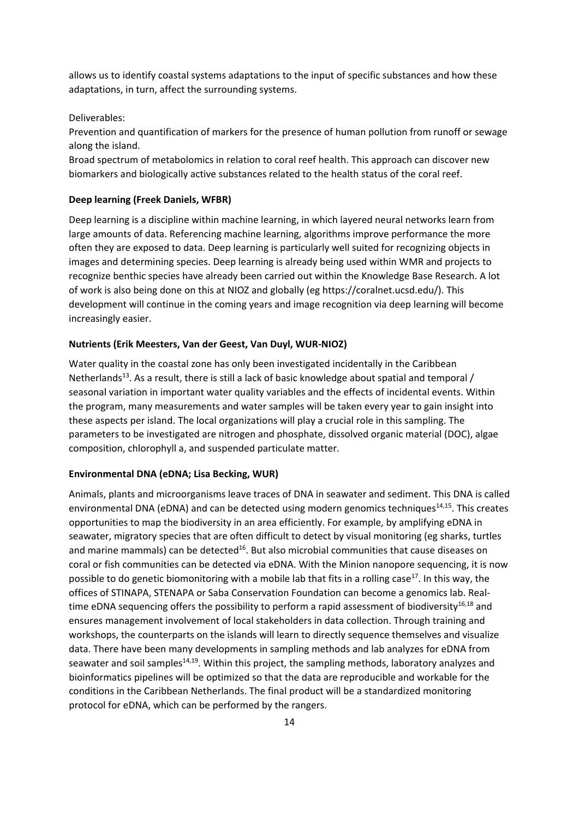allows us to identify coastal systems adaptations to the input of specific substances and how these adaptations, in turn, affect the surrounding systems.

Deliverables:

Prevention and quantification of markers for the presence of human pollution from runoff or sewage along the island.

Broad spectrum of metabolomics in relation to coral reef health. This approach can discover new biomarkers and biologically active substances related to the health status of the coral reef.

### **Deep learning (Freek Daniels, WFBR)**

Deep learning is a discipline within machine learning, in which layered neural networks learn from large amounts of data. Referencing machine learning, algorithms improve performance the more often they are exposed to data. Deep learning is particularly well suited for recognizing objects in images and determining species. Deep learning is already being used within WMR and projects to recognize benthic species have already been carried out within the Knowledge Base Research. A lot of work is also being done on this at NIOZ and globally (eg https://coralnet.ucsd.edu/). This development will continue in the coming years and image recognition via deep learning will become increasingly easier.

### **Nutrients (Erik Meesters, Van der Geest, Van Duyl, WUR-NIOZ)**

Water quality in the coastal zone has only been investigated incidentally in the Caribbean Netherlands<sup>13</sup>. As a result, there is still a lack of basic knowledge about spatial and temporal / seasonal variation in important water quality variables and the effects of incidental events. Within the program, many measurements and water samples will be taken every year to gain insight into these aspects per island. The local organizations will play a crucial role in this sampling. The parameters to be investigated are nitrogen and phosphate, dissolved organic material (DOC), algae composition, chlorophyll a, and suspended particulate matter.

### **Environmental DNA (eDNA; Lisa Becking, WUR)**

Animals, plants and microorganisms leave traces of DNA in seawater and sediment. This DNA is called environmental DNA (eDNA) and can be detected using modern genomics techniques<sup>14,15</sup>. This creates opportunities to map the biodiversity in an area efficiently. For example, by amplifying eDNA in seawater, migratory species that are often difficult to detect by visual monitoring (eg sharks, turtles and marine mammals) can be detected<sup>16</sup>. But also microbial communities that cause diseases on coral or fish communities can be detected via eDNA. With the Minion nanopore sequencing, it is now possible to do genetic biomonitoring with a mobile lab that fits in a rolling case<sup>17</sup>. In this way, the offices of STINAPA, STENAPA or Saba Conservation Foundation can become a genomics lab. Realtime eDNA sequencing offers the possibility to perform a rapid assessment of biodiversity<sup>16,18</sup> and ensures management involvement of local stakeholders in data collection. Through training and workshops, the counterparts on the islands will learn to directly sequence themselves and visualize data. There have been many developments in sampling methods and lab analyzes for eDNA from seawater and soil samples<sup>14,19</sup>. Within this project, the sampling methods, laboratory analyzes and bioinformatics pipelines will be optimized so that the data are reproducible and workable for the conditions in the Caribbean Netherlands. The final product will be a standardized monitoring protocol for eDNA, which can be performed by the rangers.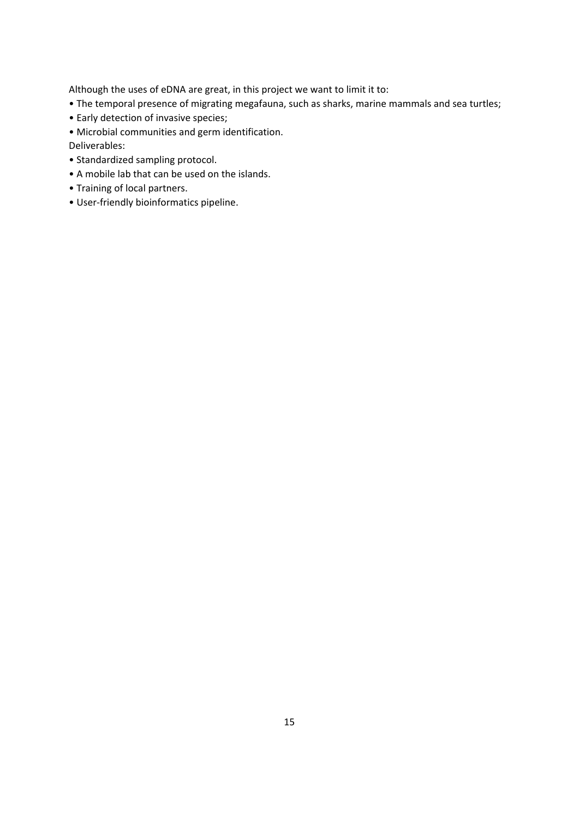Although the uses of eDNA are great, in this project we want to limit it to:

- The temporal presence of migrating megafauna, such as sharks, marine mammals and sea turtles;
- Early detection of invasive species;
- Microbial communities and germ identification.

Deliverables:

- Standardized sampling protocol.
- A mobile lab that can be used on the islands.
- Training of local partners.
- User-friendly bioinformatics pipeline.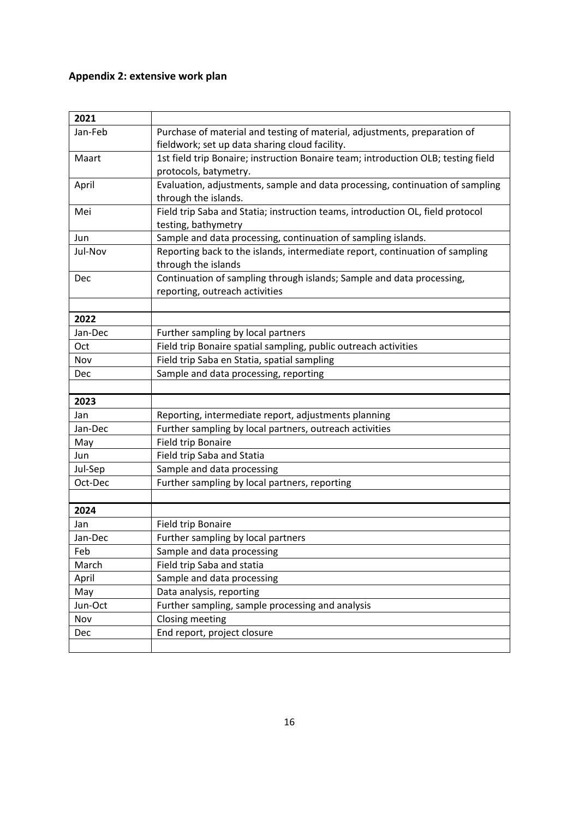# **Appendix 2: extensive work plan**

| 2021    |                                                                                   |
|---------|-----------------------------------------------------------------------------------|
| Jan-Feb | Purchase of material and testing of material, adjustments, preparation of         |
|         | fieldwork; set up data sharing cloud facility.                                    |
| Maart   | 1st field trip Bonaire; instruction Bonaire team; introduction OLB; testing field |
|         | protocols, batymetry.                                                             |
| April   | Evaluation, adjustments, sample and data processing, continuation of sampling     |
|         | through the islands.                                                              |
| Mei     | Field trip Saba and Statia; instruction teams, introduction OL, field protocol    |
|         | testing, bathymetry                                                               |
| Jun     | Sample and data processing, continuation of sampling islands.                     |
| Jul-Nov | Reporting back to the islands, intermediate report, continuation of sampling      |
|         | through the islands                                                               |
| Dec     | Continuation of sampling through islands; Sample and data processing,             |
|         | reporting, outreach activities                                                    |
|         |                                                                                   |
| 2022    |                                                                                   |
| Jan-Dec | Further sampling by local partners                                                |
| Oct     | Field trip Bonaire spatial sampling, public outreach activities                   |
| Nov     | Field trip Saba en Statia, spatial sampling                                       |
| Dec     | Sample and data processing, reporting                                             |
|         |                                                                                   |
| 2023    |                                                                                   |
| Jan     | Reporting, intermediate report, adjustments planning                              |
| Jan-Dec | Further sampling by local partners, outreach activities                           |
| May     | Field trip Bonaire                                                                |
| Jun     | Field trip Saba and Statia                                                        |
| Jul-Sep | Sample and data processing                                                        |
| Oct-Dec | Further sampling by local partners, reporting                                     |
|         |                                                                                   |
| 2024    |                                                                                   |
| Jan     | Field trip Bonaire                                                                |
| Jan-Dec | Further sampling by local partners                                                |
| Feb     | Sample and data processing                                                        |
| March   | Field trip Saba and statia                                                        |
| April   | Sample and data processing                                                        |
| May     | Data analysis, reporting                                                          |
| Jun-Oct | Further sampling, sample processing and analysis                                  |
| Nov     | Closing meeting                                                                   |
| Dec     | End report, project closure                                                       |
|         |                                                                                   |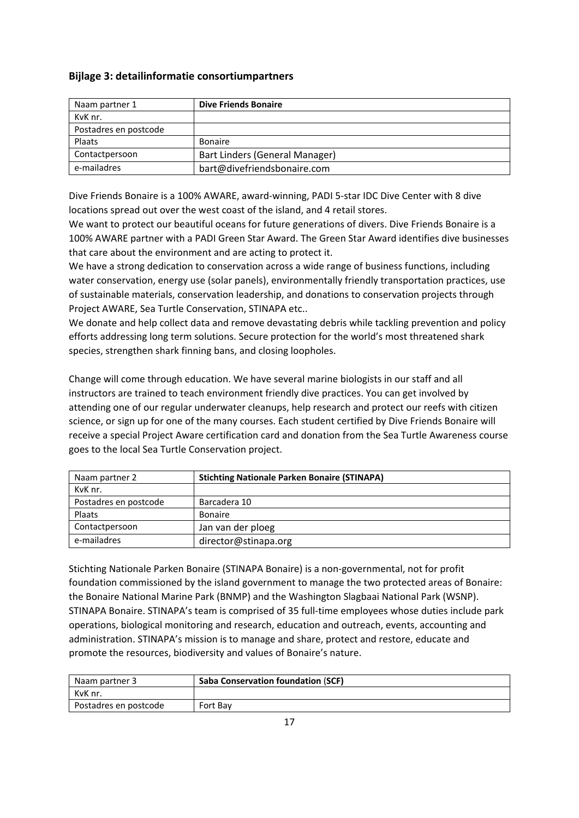# **Bijlage 3: detailinformatie consortiumpartners**

| Naam partner 1        | <b>Dive Friends Bonaire</b>    |
|-----------------------|--------------------------------|
| KvK nr.               |                                |
| Postadres en postcode |                                |
| Plaats                | <b>Bonaire</b>                 |
| Contactpersoon        | Bart Linders (General Manager) |
| e-mailadres           | bart@divefriendsbonaire.com    |

Dive Friends Bonaire is a 100% AWARE, award-winning, PADI 5-star IDC Dive Center with 8 dive locations spread out over the west coast of the island, and 4 retail stores.

We want to protect our beautiful oceans for future generations of divers. Dive Friends Bonaire is a 100% AWARE partner with a PADI Green Star Award. The Green Star Award identifies dive businesses that care about the environment and are acting to protect it.

We have a strong dedication to conservation across a wide range of business functions, including water conservation, energy use (solar panels), environmentally friendly transportation practices, use of sustainable materials, conservation leadership, and donations to conservation projects through Project AWARE, Sea Turtle Conservation, STINAPA etc..

We donate and help collect data and remove devastating debris while tackling prevention and policy efforts addressing long term solutions. Secure protection for the world's most threatened shark species, strengthen shark finning bans, and closing loopholes.

Change will come through education. We have several marine biologists in our staff and all instructors are trained to teach environment friendly dive practices. You can get involved by attending one of our regular underwater cleanups, help research and protect our reefs with citizen science, or sign up for one of the many courses. Each student certified by Dive Friends Bonaire will receive a special Project Aware certification card and donation from the Sea Turtle Awareness course goes to the local Sea Turtle Conservation project.

| Naam partner 2        | <b>Stichting Nationale Parken Bonaire (STINAPA)</b> |
|-----------------------|-----------------------------------------------------|
| KvK nr.               |                                                     |
| Postadres en postcode | Barcadera 10                                        |
| Plaats                | <b>Bonaire</b>                                      |
| Contactpersoon        | Jan van der ploeg                                   |
| e-mailadres           | director@stinapa.org                                |

Stichting Nationale Parken Bonaire (STINAPA Bonaire) is a non-governmental, not for profit foundation commissioned by the island government to manage the two protected areas of Bonaire: the Bonaire National Marine Park (BNMP) and the Washington Slagbaai National Park (WSNP). STINAPA Bonaire. STINAPA's team is comprised of 35 full-time employees whose duties include park operations, biological monitoring and research, education and outreach, events, accounting and administration. STINAPA's mission is to manage and share, protect and restore, educate and promote the resources, biodiversity and values of Bonaire's nature.

| Naam partner 3        | <b>Saba Conservation foundation (SCF)</b> |
|-----------------------|-------------------------------------------|
| KvK nr.               |                                           |
| Postadres en postcode | Fort Bay                                  |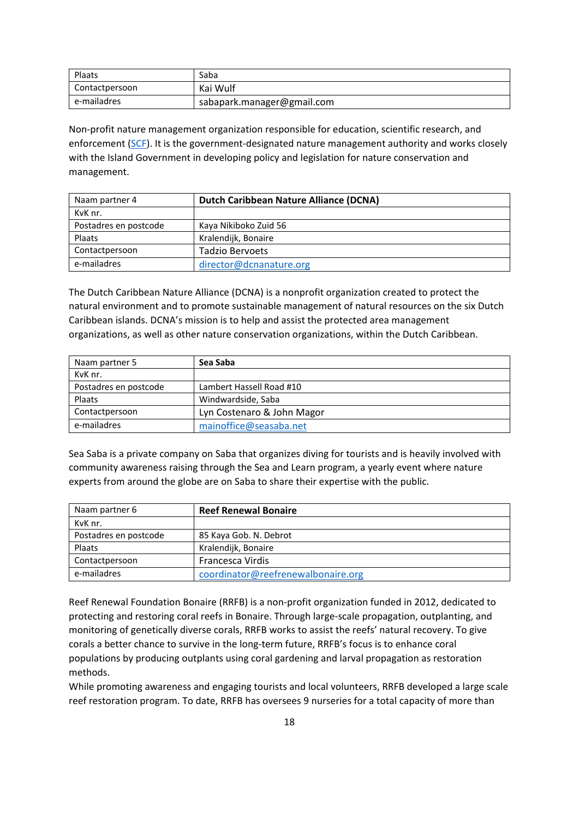| Plaats         | Saba                       |
|----------------|----------------------------|
| Contactpersoon | Kai Wulf                   |
| e-mailadres    | sabapark.manager@gmail.com |

Non-profit nature management organization responsible for education, scientific research, and enforcement [\(SCF\)](http://www.sabapark.org/about_scf/). It is the government-designated nature management authority and works closely with the Island Government in developing policy and legislation for nature conservation and management.

| Naam partner 4        | Dutch Caribbean Nature Alliance (DCNA) |
|-----------------------|----------------------------------------|
| KvK nr.               |                                        |
| Postadres en postcode | Kaya Nikiboko Zuid 56                  |
| Plaats                | Kralendijk, Bonaire                    |
| Contactpersoon        | Tadzio Bervoets                        |
| e-mailadres           | director@dcnanature.org                |

The Dutch Caribbean Nature Alliance (DCNA) is a nonprofit organization created to protect the natural environment and to promote sustainable management of natural resources on the six Dutch Caribbean islands. DCNA's mission is to help and assist the protected area management organizations, as well as other nature conservation organizations, within the Dutch Caribbean.

| Naam partner 5        | Sea Saba                   |
|-----------------------|----------------------------|
| KvK nr.               |                            |
| Postadres en postcode | Lambert Hassell Road #10   |
| Plaats                | Windwardside, Saba         |
| Contactpersoon        | Lyn Costenaro & John Magor |
| e-mailadres           | mainoffice@seasaba.net     |

Sea Saba is a private company on Saba that organizes diving for tourists and is heavily involved with community awareness raising through the Sea and Learn program, a yearly event where nature experts from around the globe are on Saba to share their expertise with the public.

| Naam partner 6        | <b>Reef Renewal Bonaire</b>        |
|-----------------------|------------------------------------|
| KvK nr.               |                                    |
| Postadres en postcode | 85 Kaya Gob. N. Debrot             |
| Plaats                | Kralendijk, Bonaire                |
| Contactpersoon        | Francesca Virdis                   |
| e-mailadres           | coordinator@reefrenewalbonaire.org |

Reef Renewal Foundation Bonaire (RRFB) is a non-profit organization funded in 2012, dedicated to protecting and restoring coral reefs in Bonaire. Through large-scale propagation, outplanting, and monitoring of genetically diverse corals, RRFB works to assist the reefs' natural recovery. To give corals a better chance to survive in the long-term future, RRFB's focus is to enhance coral populations by producing outplants using coral gardening and larval propagation as restoration methods.

While promoting awareness and engaging tourists and local volunteers, RRFB developed a large scale reef restoration program. To date, RRFB has oversees 9 nurseries for a total capacity of more than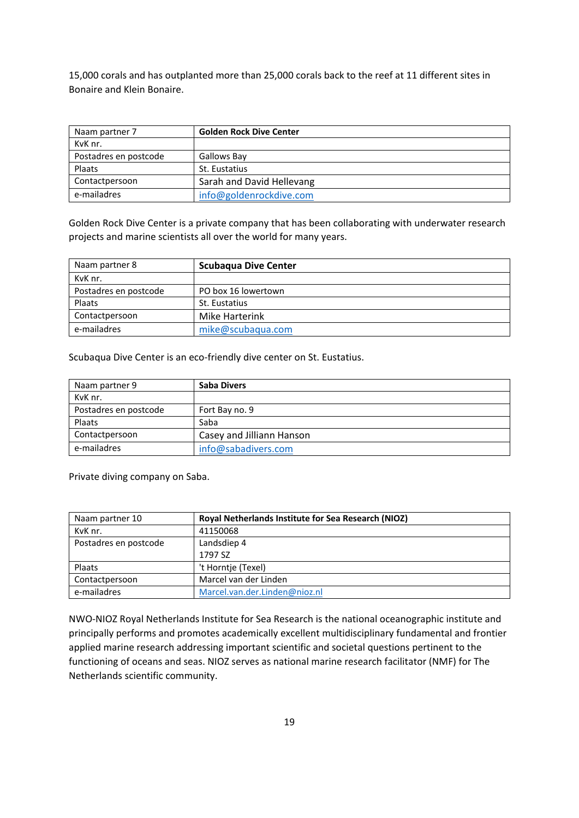15,000 corals and has outplanted more than 25,000 corals back to the reef at 11 different sites in Bonaire and Klein Bonaire.

| Naam partner 7        | <b>Golden Rock Dive Center</b> |
|-----------------------|--------------------------------|
| KvK nr.               |                                |
| Postadres en postcode | Gallows Bay                    |
| Plaats                | St. Eustatius                  |
| Contactpersoon        | Sarah and David Hellevang      |
| e-mailadres           | info@goldenrockdive.com        |

Golden Rock Dive Center is a private company that has been collaborating with underwater research projects and marine scientists all over the world for many years.

| Naam partner 8        | <b>Scubagua Dive Center</b> |
|-----------------------|-----------------------------|
| KvK nr.               |                             |
| Postadres en postcode | PO box 16 lowertown         |
| Plaats                | St. Eustatius               |
| Contactpersoon        | Mike Harterink              |
| e-mailadres           | mike@scubaqua.com           |

Scubaqua Dive Center is an eco-friendly dive center on St. Eustatius.

| Naam partner 9        | <b>Saba Divers</b>        |
|-----------------------|---------------------------|
| KvK nr.               |                           |
| Postadres en postcode | Fort Bay no. 9            |
| Plaats                | Saba                      |
| Contactpersoon        | Casey and Jilliann Hanson |
| e-mailadres           | info@sabadivers.com       |

Private diving company on Saba.

| Naam partner 10       | <b>Royal Netherlands Institute for Sea Research (NIOZ)</b> |
|-----------------------|------------------------------------------------------------|
| KvK nr.               | 41150068                                                   |
| Postadres en postcode | Landsdiep 4                                                |
|                       | 1797 SZ                                                    |
| Plaats                | 't Horntie (Texel)                                         |
| Contactpersoon        | Marcel van der Linden                                      |
| e-mailadres           | Marcel.van.der.Linden@nioz.nl                              |

NWO-NIOZ Royal Netherlands Institute for Sea Research is the national oceanographic institute and principally performs and promotes academically excellent multidisciplinary fundamental and frontier applied marine research addressing important scientific and societal questions pertinent to the functioning of oceans and seas. NIOZ serves as national marine research facilitator (NMF) for The Netherlands scientific community.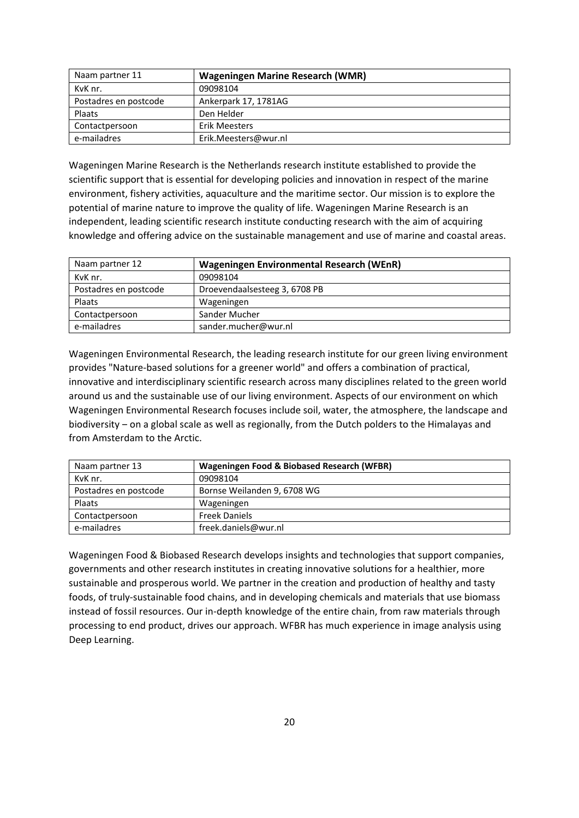| Naam partner 11       | <b>Wageningen Marine Research (WMR)</b> |
|-----------------------|-----------------------------------------|
| KvK nr.               | 09098104                                |
| Postadres en postcode | Ankerpark 17, 1781AG                    |
| Plaats                | Den Helder                              |
| Contactpersoon        | Erik Meesters                           |
| e-mailadres           | Erik.Meesters@wur.nl                    |

Wageningen Marine Research is the Netherlands research institute established to provide the scientific support that is essential for developing policies and innovation in respect of the marine environment, fishery activities, aquaculture and the maritime sector. Our mission is to explore the potential of marine nature to improve the quality of life. Wageningen Marine Research is an independent, leading scientific research institute conducting research with the aim of acquiring knowledge and offering advice on the sustainable management and use of marine and coastal areas.

| Naam partner 12       | <b>Wageningen Environmental Research (WEnR)</b> |
|-----------------------|-------------------------------------------------|
| KvK nr.               | 09098104                                        |
| Postadres en postcode | Droevendaalsesteeg 3, 6708 PB                   |
| Plaats                | Wageningen                                      |
| Contactpersoon        | Sander Mucher                                   |
| e-mailadres           | sander.mucher@wur.nl                            |

Wageningen Environmental Research, the leading research institute for our green living environment provides "Nature-based solutions for a greener world" and offers a combination of practical, innovative and interdisciplinary scientific research across many disciplines related to the green world around us and the sustainable use of our living environment. Aspects of our environment on which Wageningen Environmental Research focuses include soil, water, the atmosphere, the landscape and biodiversity – on a global scale as well as regionally, from the Dutch polders to the Himalayas and from Amsterdam to the Arctic.

| Naam partner 13       | Wageningen Food & Biobased Research (WFBR) |
|-----------------------|--------------------------------------------|
| KvK nr.               | 09098104                                   |
| Postadres en postcode | Bornse Weilanden 9, 6708 WG                |
| <b>Plaats</b>         | Wageningen                                 |
| Contactpersoon        | <b>Freek Daniels</b>                       |
| e-mailadres           | freek.daniels@wur.nl                       |

Wageningen Food & Biobased Research develops insights and technologies that support companies, governments and other research institutes in creating innovative solutions for a healthier, more sustainable and prosperous world. We partner in the creation and production of healthy and tasty foods, of truly-sustainable food chains, and in developing chemicals and materials that use biomass instead of fossil resources. Our in-depth knowledge of the entire chain, from raw materials through processing to end product, drives our approach. WFBR has much experience in image analysis using Deep Learning.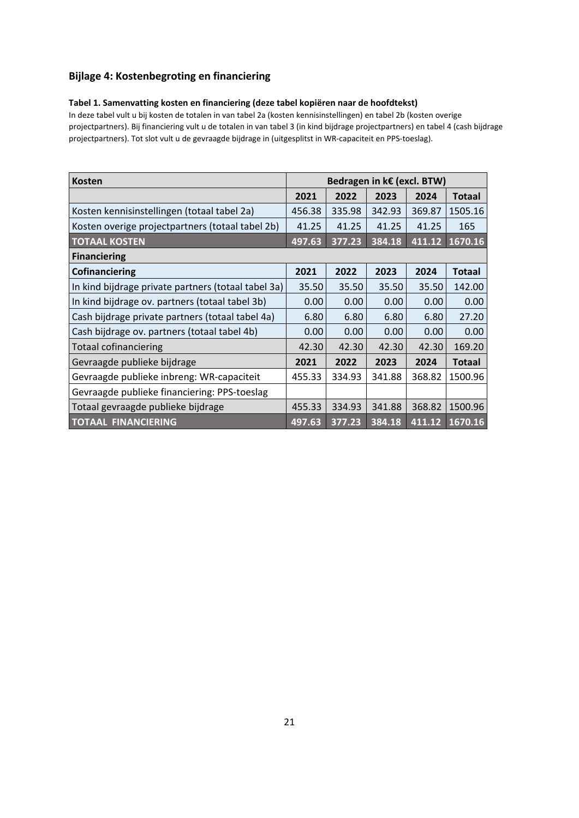# **Bijlage 4: Kostenbegroting en financiering**

## **Tabel 1. Samenvatting kosten en financiering (deze tabel kopiëren naar de hoofdtekst)**

In deze tabel vult u bij kosten de totalen in van tabel 2a (kosten kennisinstellingen) en tabel 2b (kosten overige projectpartners). Bij financiering vult u de totalen in van tabel 3 (in kind bijdrage projectpartners) en tabel 4 (cash bijdrage projectpartners). Tot slot vult u de gevraagde bijdrage in (uitgesplitst in WR-capaciteit en PPS-toeslag).

| <b>Kosten</b>                                       | Bedragen in k€ (excl. BTW) |        |        |        |               |
|-----------------------------------------------------|----------------------------|--------|--------|--------|---------------|
|                                                     | 2021                       | 2022   | 2023   | 2024   | <b>Totaal</b> |
| Kosten kennisinstellingen (totaal tabel 2a)         | 456.38                     | 335.98 | 342.93 | 369.87 | 1505.16       |
| Kosten overige projectpartners (totaal tabel 2b)    | 41.25                      | 41.25  | 41.25  | 41.25  | 165           |
| <b>TOTAAL KOSTEN</b>                                | 497.63                     | 377.23 | 384.18 | 411.12 | 1670.16       |
| <b>Financiering</b>                                 |                            |        |        |        |               |
| Cofinanciering                                      | 2021                       | 2022   | 2023   | 2024   | <b>Totaal</b> |
| In kind bijdrage private partners (totaal tabel 3a) | 35.50                      | 35.50  | 35.50  | 35.50  | 142.00        |
| In kind bijdrage ov. partners (totaal tabel 3b)     | 0.00                       | 0.00   | 0.00   | 0.00   | 0.00          |
| Cash bijdrage private partners (totaal tabel 4a)    | 6.80                       | 6.80   | 6.80   | 6.80   | 27.20         |
| Cash bijdrage ov. partners (totaal tabel 4b)        | 0.00                       | 0.00   | 0.00   | 0.00   | 0.00          |
| <b>Totaal cofinanciering</b>                        | 42.30                      | 42.30  | 42.30  | 42.30  | 169.20        |
| Gevraagde publieke bijdrage                         | 2021                       | 2022   | 2023   | 2024   | <b>Totaal</b> |
| Gevraagde publieke inbreng: WR-capaciteit           | 455.33                     | 334.93 | 341.88 | 368.82 | 1500.96       |
| Gevraagde publieke financiering: PPS-toeslag        |                            |        |        |        |               |
| Totaal gevraagde publieke bijdrage                  | 455.33                     | 334.93 | 341.88 | 368.82 | 1500.96       |
| <b>TOTAAL FINANCIERING</b>                          | 497.63                     | 377.23 | 384.18 | 411.12 | 1670.16       |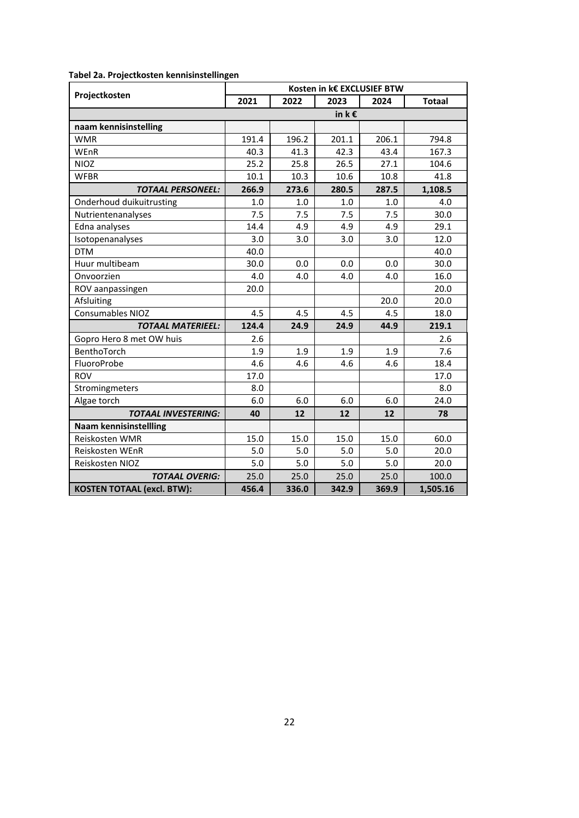|                                   | Kosten in k€ EXCLUSIEF BTW |       |            |       |               |  |
|-----------------------------------|----------------------------|-------|------------|-------|---------------|--|
| Projectkosten                     | 2021                       | 2022  | 2023       | 2024  | <b>Totaal</b> |  |
|                                   |                            |       | in $k \in$ |       |               |  |
| naam kennisinstelling             |                            |       |            |       |               |  |
| <b>WMR</b>                        | 191.4                      | 196.2 | 201.1      | 206.1 | 794.8         |  |
| WEnR                              | 40.3                       | 41.3  | 42.3       | 43.4  | 167.3         |  |
| <b>NIOZ</b>                       | 25.2                       | 25.8  | 26.5       | 27.1  | 104.6         |  |
| <b>WFBR</b>                       | 10.1                       | 10.3  | 10.6       | 10.8  | 41.8          |  |
| <b>TOTAAL PERSONEEL:</b>          | 266.9                      | 273.6 | 280.5      | 287.5 | 1,108.5       |  |
| Onderhoud duikuitrusting          | 1.0                        | 1.0   | 1.0        | 1.0   | 4.0           |  |
| Nutrientenanalyses                | 7.5                        | 7.5   | 7.5        | 7.5   | 30.0          |  |
| Edna analyses                     | 14.4                       | 4.9   | 4.9        | 4.9   | 29.1          |  |
| Isotopenanalyses                  | 3.0                        | 3.0   | 3.0        | 3.0   | 12.0          |  |
| <b>DTM</b>                        | 40.0                       |       |            |       | 40.0          |  |
| Huur multibeam                    | 30.0                       | 0.0   | 0.0        | 0.0   | 30.0          |  |
| Onvoorzien                        | 4.0                        | 4.0   | 4.0        | 4.0   | 16.0          |  |
| ROV aanpassingen                  | 20.0                       |       |            |       | 20.0          |  |
| Afsluiting                        |                            |       |            | 20.0  | 20.0          |  |
| <b>Consumables NIOZ</b>           | 4.5                        | 4.5   | 4.5        | 4.5   | 18.0          |  |
| <b>TOTAAL MATERIEEL:</b>          | 124.4                      | 24.9  | 24.9       | 44.9  | 219.1         |  |
| Gopro Hero 8 met OW huis          | 2.6                        |       |            |       | 2.6           |  |
| BenthoTorch                       | 1.9                        | 1.9   | 1.9        | 1.9   | 7.6           |  |
| FluoroProbe                       | 4.6                        | 4.6   | 4.6        | 4.6   | 18.4          |  |
| <b>ROV</b>                        | 17.0                       |       |            |       | 17.0          |  |
| Stromingmeters                    | 8.0                        |       |            |       | 8.0           |  |
| Algae torch                       | 6.0                        | 6.0   | 6.0        | 6.0   | 24.0          |  |
| <b>TOTAAL INVESTERING:</b>        | 40                         | 12    | 12         | 12    | 78            |  |
| <b>Naam kennisinstellling</b>     |                            |       |            |       |               |  |
| Reiskosten WMR                    | 15.0                       | 15.0  | 15.0       | 15.0  | 60.0          |  |
| Reiskosten WEnR                   | 5.0                        | 5.0   | 5.0        | 5.0   | 20.0          |  |
| Reiskosten NIOZ                   | 5.0                        | 5.0   | 5.0        | 5.0   | 20.0          |  |
| <b>TOTAAL OVERIG:</b>             | 25.0                       | 25.0  | 25.0       | 25.0  | 100.0         |  |
| <b>KOSTEN TOTAAL (excl. BTW):</b> | 456.4                      | 336.0 | 342.9      | 369.9 | 1,505.16      |  |